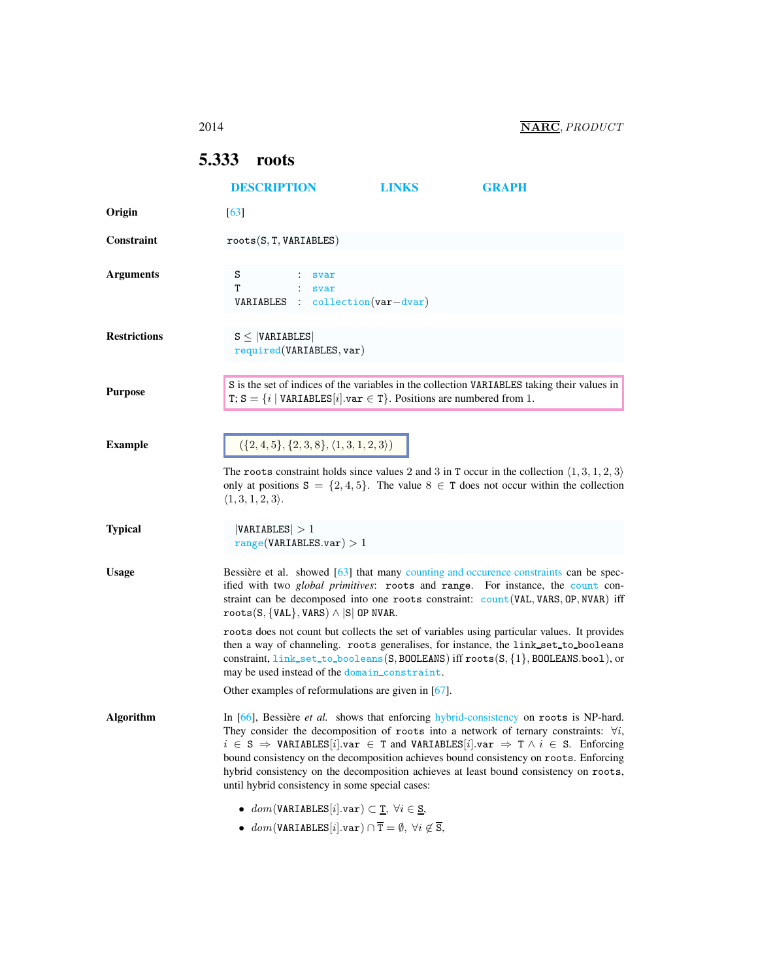## <span id="page-0-1"></span><span id="page-0-0"></span>5.333 roots

|                     | <b>DESCRIPTION</b>                                                                                                                                                                                                                                                                                                                                                                                                                                                                                                                                | <b>LINKS</b> | <b>GRAPH</b> |
|---------------------|---------------------------------------------------------------------------------------------------------------------------------------------------------------------------------------------------------------------------------------------------------------------------------------------------------------------------------------------------------------------------------------------------------------------------------------------------------------------------------------------------------------------------------------------------|--------------|--------------|
| Origin              | $\lceil 63 \rceil$                                                                                                                                                                                                                                                                                                                                                                                                                                                                                                                                |              |              |
| Constraint          | roots(S, T, VARIABLES)                                                                                                                                                                                                                                                                                                                                                                                                                                                                                                                            |              |              |
| <b>Arguments</b>    | S<br>svar<br>т<br>svar<br>$\therefore$ collection (var-dvar)<br>VARIABLES                                                                                                                                                                                                                                                                                                                                                                                                                                                                         |              |              |
| <b>Restrictions</b> | $S \leq  VARIABLES $<br>required(VARIABLES, var)                                                                                                                                                                                                                                                                                                                                                                                                                                                                                                  |              |              |
| <b>Purpose</b>      | S is the set of indices of the variables in the collection VARIABLES taking their values in<br>T; S = { $i$   VARIABLES[ $i$ ]. var $\in$ T}. Positions are numbered from 1.                                                                                                                                                                                                                                                                                                                                                                      |              |              |
| <b>Example</b>      | $({2, 4, 5}, {2, 3, 8}, {1, 3, 1, 2, 3})$<br>The roots constraint holds since values 2 and 3 in T occur in the collection $\langle 1,3,1,2,3 \rangle$<br>only at positions $S = \{2, 4, 5\}$ . The value $S \in T$ does not occur within the collection<br>$\langle 1,3,1,2,3 \rangle$ .                                                                                                                                                                                                                                                          |              |              |
| <b>Typical</b>      | VARIABLES  > 1<br>range(VARIABLES.var) > 1                                                                                                                                                                                                                                                                                                                                                                                                                                                                                                        |              |              |
| <b>Usage</b>        | Bessière et al. showed [63] that many counting and occurence constraints can be spec-<br>ified with two <i>global primitives</i> : roots and range. For instance, the count con-<br>straint can be decomposed into one roots constraint: count (VAL, VARS, OP, NVAR) iff<br>$roots(S, \{VAL\}, \text{VARS}) \wedge  S $ OP NVAR.                                                                                                                                                                                                                  |              |              |
|                     | roots does not count but collects the set of variables using particular values. It provides<br>then a way of channeling. roots generalises, for instance, the link_set_to_booleans<br>constraint, link_set_to_booleans(S, BOOLEANS) iff roots(S, {1}, BOOLEANS.bool), or<br>may be used instead of the domain_constraint.                                                                                                                                                                                                                         |              |              |
|                     | Other examples of reformulations are given in $[67]$ .                                                                                                                                                                                                                                                                                                                                                                                                                                                                                            |              |              |
| <b>Algorithm</b>    | In [66], Bessière et al. shows that enforcing hybrid-consistency on roots is NP-hard.<br>They consider the decomposition of roots into a network of ternary constraints: $\forall i$ ,<br>$i \in S \Rightarrow$ VARIABLES [i].var $\in$ T and VARIABLES [i].var $\Rightarrow$ T $\land$ i $\in$ S. Enforcing<br>bound consistency on the decomposition achieves bound consistency on roots. Enforcing<br>hybrid consistency on the decomposition achieves at least bound consistency on roots,<br>until hybrid consistency in some special cases: |              |              |
|                     | • $dom(VARIABLES[i].var) \subset \underline{T}, \forall i \in \underline{S},$<br>• $dom(VARIABLES[i].var) \cap \overline{T} = \emptyset, \forall i \notin \overline{S},$                                                                                                                                                                                                                                                                                                                                                                          |              |              |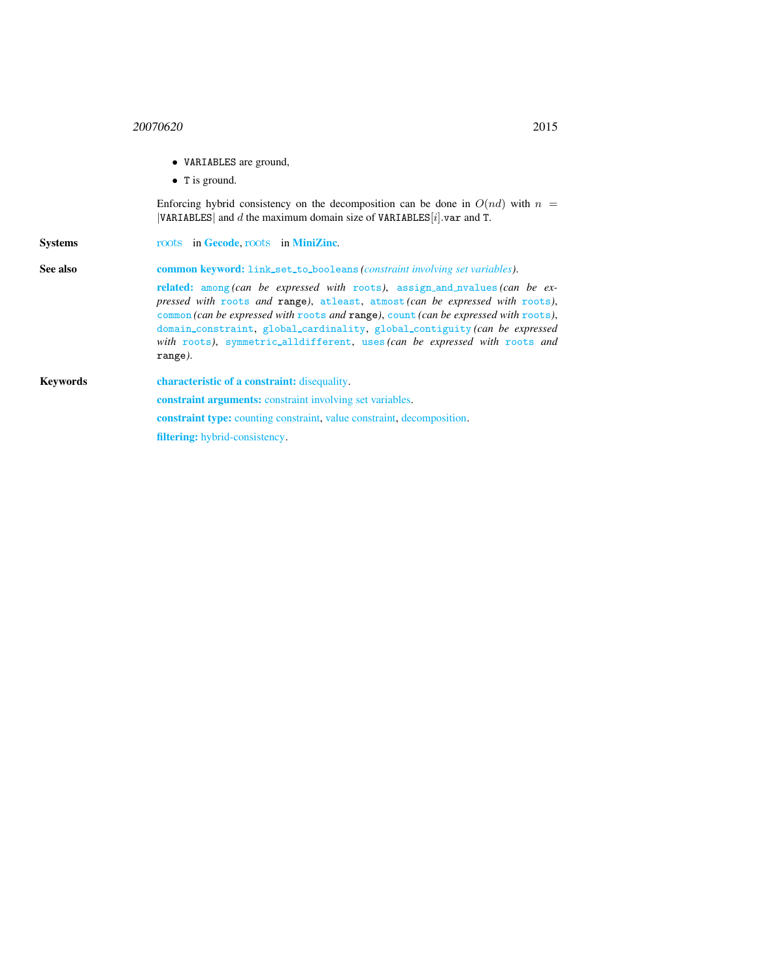- VARIABLES are ground,
- T is ground.

Enforcing hybrid consistency on the decomposition can be done in  $O(nd)$  with  $n =$ |VARIABLES| and  $d$  the maximum domain size of VARIABLES[ $i$ ].var and T.

<span id="page-1-0"></span>Systems [roots](http://www.g12.cs.mu.oz.au/minizinc/downloads/doc-1.4/mzn-globals.html#roots) in [Gecode](http://www.gecode.org/), roots in [MiniZinc](http://www.g12.cs.mu.oz.au/minizinc/). See also common keyword: link\_set\_to\_booleans *(constraint involving set variables)*. related: among *(can be expressed with* [roots](#page-0-1)*)*, assign and nvalues *(can be expressed with* [roots](#page-0-1) *and* range*)*, atleast, atmost *(can be expressed with* [roots](#page-0-1)*)*, common *(can be expressed with* [roots](#page-0-1) *and* range*)*, count *(can be expressed with* [roots](#page-0-1)*)*, domain constraint, global cardinality, global contiguity *(can be expressed with* [roots](#page-0-1)*)*, symmetric alldifferent, uses *(can be expressed with* [roots](#page-0-1) *and* range*)*. Keywords characteristic of a constraint: disequality. constraint arguments: constraint involving set variables. constraint type: counting constraint, value constraint, decomposition.

filtering: hybrid-consistency.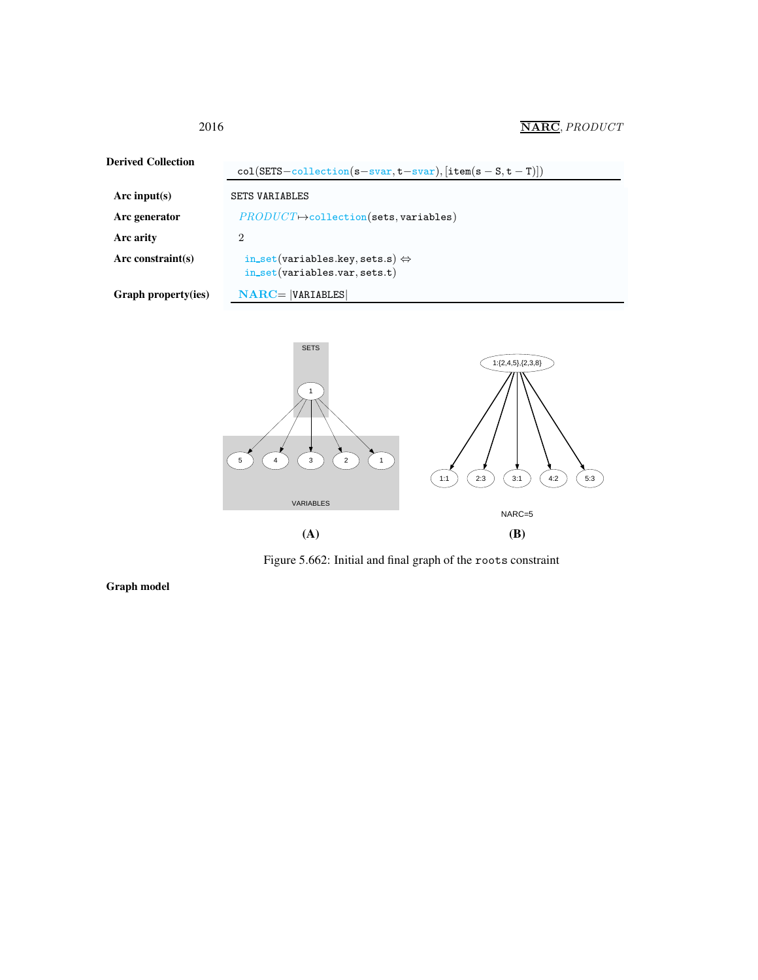2016 **NARC**, *PRODUCT* 

| <b>Derived Collection</b> |                                                                                    |  |  |
|---------------------------|------------------------------------------------------------------------------------|--|--|
|                           | $col(SETS-collection(s-svar, t-svar), [item(s-S, t-T)])$                           |  |  |
| Arc input(s)              | <b>SETS VARIABLES</b>                                                              |  |  |
| Arc generator             | $PRODUCT \rightarrow collection(sets, variables)$                                  |  |  |
| Arc arity                 | $\overline{2}$                                                                     |  |  |
| Arc constraint $(s)$      | in_set(variables.key, sets.s) $\Leftrightarrow$<br>$in_set(variables.var, sets.t)$ |  |  |
| Graph property(ies)       | $NARC =  VARIABLES $                                                               |  |  |



Figure 5.662: Initial and final graph of the roots constraint

Graph model

<span id="page-2-0"></span>